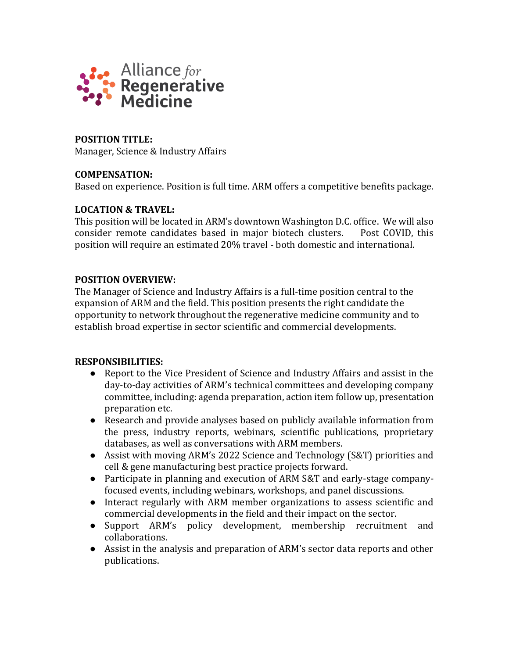

**POSITION TITLE:**  Manager, Science & Industry Affairs

## **COMPENSATION:**

Based on experience. Position is full time. ARM offers a competitive benefits package.

## **LOCATION & TRAVEL:**

This position will be located in ARM's downtown Washington D.C. office. We will also consider remote candidates based in major biotech clusters. Post COVID, this position will require an estimated 20% travel - both domestic and international.

# **POSITION OVERVIEW:**

The Manager of Science and Industry Affairs is a full-time position central to the expansion of ARM and the field. This position presents the right candidate the opportunity to network throughout the regenerative medicine community and to establish broad expertise in sector scientific and commercial developments.

### **RESPONSIBILITIES:**

- Report to the Vice President of Science and Industry Affairs and assist in the day-to-day activities of ARM's technical committees and developing company committee, including: agenda preparation, action item follow up, presentation preparation etc.
- Research and provide analyses based on publicly available information from the press, industry reports, webinars, scientific publications, proprietary databases, as well as conversations with ARM members.
- Assist with moving ARM's 2022 Science and Technology (S&T) priorities and cell & gene manufacturing best practice projects forward.
- Participate in planning and execution of ARM S&T and early-stage companyfocused events, including webinars, workshops, and panel discussions.
- Interact regularly with ARM member organizations to assess scientific and commercial developments in the field and their impact on the sector.
- Support ARM's policy development, membership recruitment and collaborations.
- Assist in the analysis and preparation of ARM's sector data reports and other publications.